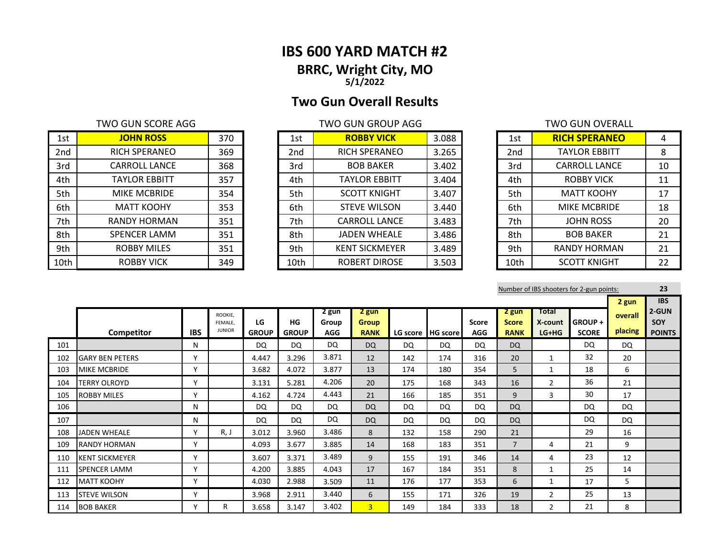# **IBS 600 YARD MATCH #2 BRRC, Wright City, MO 5/1/2022**

# **Two Gun Overall Results**

# TWO GUN SCORE AGG TWO GUN GROUP AGG

| 1st             | <b>JOHN ROSS</b>     | 370 | 1st             | <b>ROBBY VICK</b>     | 3.088 | 1st  | <b>RICH SPERANEO</b> | 4  |
|-----------------|----------------------|-----|-----------------|-----------------------|-------|------|----------------------|----|
| 2 <sub>nd</sub> | <b>RICH SPERANEO</b> | 369 | 2 <sub>nd</sub> | <b>RICH SPERANEO</b>  | 3.265 | 2nd  | <b>TAYLOR EBBITT</b> | 8  |
| 3rd             | <b>CARROLL LANCE</b> | 368 | 3rd             | <b>BOB BAKER</b>      | 3.402 | 3rd  | <b>CARROLL LANCE</b> | 10 |
| 4th             | <b>TAYLOR EBBITT</b> | 357 | 4th             | <b>TAYLOR EBBITT</b>  | 3.404 | 4th  | <b>ROBBY VICK</b>    | 11 |
| 5th             | MIKE MCBRIDE         | 354 | 5th             | <b>SCOTT KNIGHT</b>   | 3.407 | 5th  | <b>MATT KOOHY</b>    | 17 |
| 6th             | <b>MATT KOOHY</b>    | 353 | 6th             | <b>STEVE WILSON</b>   | 3.440 | 6th  | <b>MIKE MCBRIDE</b>  | 18 |
| 7th             | <b>RANDY HORMAN</b>  | 351 | 7th             | <b>CARROLL LANCE</b>  | 3.483 | 7th  | <b>JOHN ROSS</b>     | 20 |
| 8th             | <b>SPENCER LAMM</b>  | 351 | 8th             | <b>JADEN WHEALE</b>   | 3.486 | 8th  | <b>BOB BAKER</b>     | 21 |
| 9th             | <b>ROBBY MILES</b>   | 351 | 9th             | <b>KENT SICKMEYER</b> | 3.489 | 9th  | <b>RANDY HORMAN</b>  | 21 |
| 10th            | <b>ROBBY VICK</b>    | 349 | 10th            | <b>ROBERT DIROSE</b>  | 3.503 | 10th | <b>SCOTT KNIGHT</b>  | 22 |

| 1st             | <b>ROBBY VICK</b>     | 3.088 |
|-----------------|-----------------------|-------|
| 2 <sub>nd</sub> | RICH SPERANEO         | 3.265 |
| 3rd             | <b>BOB BAKER</b>      | 3.402 |
| 4th             | <b>TAYLOR EBBITT</b>  | 3.404 |
| 5th             | <b>SCOTT KNIGHT</b>   | 3.407 |
| 6th             | <b>STEVE WILSON</b>   | 3.440 |
| 7th             | <b>CARROLL LANCE</b>  | 3.483 |
| 8th             | <b>JADEN WHEALE</b>   | 3.486 |
| 9th             | <b>KENT SICKMEYER</b> | 3.489 |
| 10th            | ROBERT DIROSE         | 3.503 |

|                 | TWO GUN OVERALL      |    |
|-----------------|----------------------|----|
| 1st             | <b>RICH SPERANEO</b> | 4  |
| 2 <sub>nd</sub> | <b>TAYLOR EBBITT</b> | 8  |
| 3rd             | <b>CARROLL LANCE</b> | 10 |
| 4th             | <b>ROBBY VICK</b>    | 11 |
| 5th             | <b>MATT KOOHY</b>    | 17 |
| 6th             | <b>MIKE MCBRIDE</b>  | 18 |
| 7th             | <b>JOHN ROSS</b>     | 20 |
| 8th             | <b>BOB BAKER</b>     | 21 |
| 9th             | RANDY HORMAN         | 21 |
| 10th            | <b>SCOTT KNIGHT</b>  | 22 |

|     |                        |              |                                     |                    |                    |                              |                                      |           |                   |                     |                                      |                             | Number of IBS shooters for 2-gun points: |                             | 23                                                 |
|-----|------------------------|--------------|-------------------------------------|--------------------|--------------------|------------------------------|--------------------------------------|-----------|-------------------|---------------------|--------------------------------------|-----------------------------|------------------------------------------|-----------------------------|----------------------------------------------------|
|     | Competitor             | <b>IBS</b>   | ROOKIE.<br>FEMALE.<br><b>JUNIOR</b> | LG<br><b>GROUP</b> | HG<br><b>GROUP</b> | 2 gun<br>Group<br><b>AGG</b> | 2 gun<br><b>Group</b><br><b>RANK</b> |           | LG score HG score | Score<br><b>AGG</b> | 2 gun<br><b>Score</b><br><b>RANK</b> | Total<br>X-count<br>$LG+HG$ | <b>GROUP +</b><br><b>SCORE</b>           | 2 gun<br>overall<br>placing | <b>IBS</b><br>2-GUN<br><b>SOY</b><br><b>POINTS</b> |
| 101 |                        | N            |                                     | <b>DQ</b>          | <b>DQ</b>          | <b>DQ</b>                    | <b>DQ</b>                            | DQ        | DQ                | <b>DQ</b>           | <b>DQ</b>                            |                             | DQ                                       | <b>DQ</b>                   |                                                    |
| 102 | <b>GARY BEN PETERS</b> | $\mathbf v$  |                                     | 4.447              | 3.296              | 3.871                        | 12                                   | 142       | 174               | 316                 | 20                                   | 1                           | 32                                       | 20                          |                                                    |
| 103 | <b>MIKE MCBRIDE</b>    | v            |                                     | 3.682              | 4.072              | 3.877                        | 13                                   | 174       | 180               | 354                 | 5                                    | 1                           | 18                                       | 6                           |                                                    |
| 104 | TERRY OLROYD           | $\mathbf v$  |                                     | 3.131              | 5.281              | 4.206                        | 20                                   | 175       | 168               | 343                 | 16                                   | $\overline{2}$              | 36                                       | 21                          |                                                    |
| 105 | <b>ROBBY MILES</b>     | $\mathsf{v}$ |                                     | 4.162              | 4.724              | 4.443                        | 21                                   | 166       | 185               | 351                 | 9                                    | 3                           | 30                                       | 17                          |                                                    |
| 106 |                        | N            |                                     | DQ                 | <b>DQ</b>          | <b>DQ</b>                    | <b>DQ</b>                            | <b>DQ</b> | DQ                | <b>DQ</b>           | <b>DQ</b>                            |                             | DQ                                       | <b>DQ</b>                   |                                                    |
| 107 |                        | N            |                                     | DQ                 | <b>DQ</b>          | <b>DQ</b>                    | <b>DQ</b>                            | DQ        | DQ                | <b>DQ</b>           | <b>DQ</b>                            |                             | <b>DQ</b>                                | DQ                          |                                                    |
| 108 | <b>JADEN WHEALE</b>    | v            | R, J                                | 3.012              | 3.960              | 3.486                        | 8                                    | 132       | 158               | 290                 | 21                                   |                             | 29                                       | 16                          |                                                    |
| 109 | <b>RANDY HORMAN</b>    | $\mathsf{v}$ |                                     | 4.093              | 3.677              | 3.885                        | 14                                   | 168       | 183               | 351                 | $\overline{7}$                       | 4                           | 21                                       | 9                           |                                                    |
| 110 | <b>KENT SICKMEYER</b>  | $\mathsf{v}$ |                                     | 3.607              | 3.371              | 3.489                        | 9                                    | 155       | 191               | 346                 | 14                                   | 4                           | 23                                       | 12                          |                                                    |
| 111 | <b>SPENCER LAMM</b>    | $\mathbf v$  |                                     | 4.200              | 3.885              | 4.043                        | 17                                   | 167       | 184               | 351                 | 8                                    | $\mathbf{1}$                | 25                                       | 14                          |                                                    |
| 112 | <b>MATT KOOHY</b>      | v            |                                     | 4.030              | 2.988              | 3.509                        | 11                                   | 176       | 177               | 353                 | 6                                    | 1                           | 17                                       | 5                           |                                                    |
| 113 | <b>STEVE WILSON</b>    | $\checkmark$ |                                     | 3.968              | 2.911              | 3.440                        | 6                                    | 155       | 171               | 326                 | 19                                   | $\overline{2}$              | 25                                       | 13                          |                                                    |
| 114 | <b>BOB BAKER</b>       | $\checkmark$ | R                                   | 3.658              | 3.147              | 3.402                        | 3 <sup>1</sup>                       | 149       | 184               | 333                 | 18                                   | 2                           | 8                                        |                             |                                                    |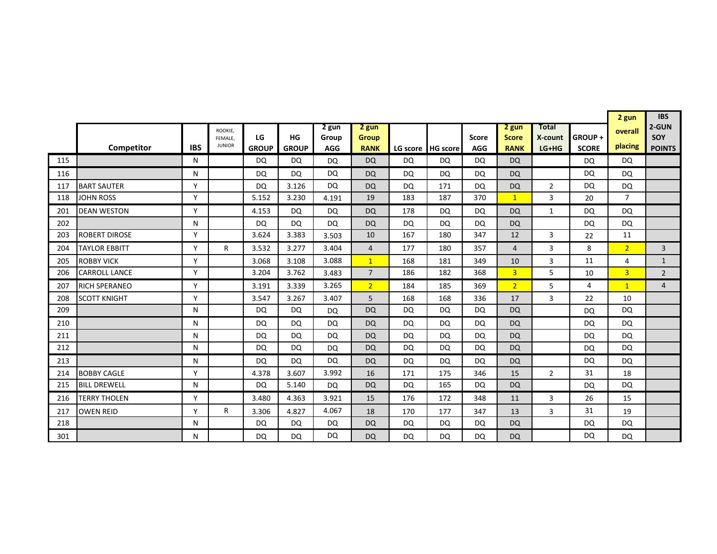|     |                      |            |                          |                    |                    |                     |                             |           |                 |                            |                             |                    |                        | 2 gun          | <b>IBS</b>           |
|-----|----------------------|------------|--------------------------|--------------------|--------------------|---------------------|-----------------------------|-----------|-----------------|----------------------------|-----------------------------|--------------------|------------------------|----------------|----------------------|
|     |                      |            | ROOKIE,                  |                    |                    | 2 gun               | 2 gun                       |           |                 |                            | 2 gun                       | Total              |                        | overall        | 2-GUN                |
|     | Competitor           | <b>IBS</b> | FEMALE.<br><b>JUNIOR</b> | LG<br><b>GROUP</b> | HG<br><b>GROUP</b> | Group<br><b>AGG</b> | <b>Group</b><br><b>RANK</b> | LG score  | <b>HG</b> score | <b>Score</b><br><b>AGG</b> | <b>Score</b><br><b>RANK</b> | X-count<br>$LG+HG$ | GROUP+<br><b>SCORE</b> | placing        | SOY<br><b>POINTS</b> |
| 115 |                      | N          |                          | DQ.                | <b>DQ</b>          | DQ                  | <b>DQ</b>                   | DQ        | DQ              | DQ                         | DQ                          |                    | <b>DQ</b>              | DQ             |                      |
|     |                      |            |                          |                    |                    |                     |                             |           |                 |                            |                             |                    |                        |                |                      |
| 116 |                      | N<br>Y     |                          | DQ                 | <b>DQ</b>          | DQ                  | <b>DQ</b>                   | DQ        | DQ              | DQ                         | <b>DQ</b>                   |                    | <b>DQ</b>              | DQ             |                      |
| 117 | <b>BART SAUTER</b>   |            |                          | <b>DQ</b>          | 3.126              | <b>DQ</b>           | <b>DQ</b>                   | <b>DQ</b> | 171             | <b>DQ</b>                  | <b>DQ</b>                   | $\overline{2}$     | <b>DQ</b>              | <b>DQ</b>      |                      |
| 118 | <b>JOHN ROSS</b>     | Y          |                          | 5.152              | 3.230              | 4.191               | 19                          | 183       | 187             | 370                        | 1                           | 3                  | 20                     | $\overline{7}$ |                      |
| 201 | <b>DEAN WESTON</b>   | Y          |                          | 4.153              | <b>DQ</b>          | DQ                  | <b>DQ</b>                   | 178       | DQ              | DQ                         | <b>DQ</b>                   | 1                  | <b>DQ</b>              | DQ             |                      |
| 202 |                      | N          |                          | <b>DQ</b>          | <b>DQ</b>          | DQ                  | <b>DQ</b>                   | <b>DQ</b> | DQ              | <b>DQ</b>                  | <b>DQ</b>                   |                    | <b>DQ</b>              | <b>DQ</b>      |                      |
| 203 | <b>ROBERT DIROSE</b> | Y          |                          | 3.624              | 3.383              | 3.503               | 10                          | 167       | 180             | 347                        | 12                          | 3                  | 22                     | 11             |                      |
| 204 | <b>TAYLOR EBBITT</b> | Υ          | R                        | 3.532              | 3.277              | 3.404               | 4                           | 177       | 180             | 357                        | 4                           | 3                  | 8                      | 2 <sup>1</sup> | 3                    |
| 205 | <b>ROBBY VICK</b>    | Y          |                          | 3.068              | 3.108              | 3.088               | $\overline{1}$              | 168       | 181             | 349                        | 10                          | 3                  | 11                     | 4              | $\mathbf{1}$         |
| 206 | <b>CARROLL LANCE</b> | Υ          |                          | 3.204              | 3.762              | 3.483               | $\overline{7}$              | 186       | 182             | 368                        | $\overline{3}$              | 5                  | 10                     | $\overline{3}$ | $\overline{2}$       |
| 207 | <b>RICH SPERANEO</b> | Υ          |                          | 3.191              | 3.339              | 3.265               | 2 <sup>2</sup>              | 184       | 185             | 369                        | 2 <sup>1</sup>              | 5                  | 4                      | $\mathbf{1}$   | $\overline{4}$       |
| 208 | <b>SCOTT KNIGHT</b>  | Υ          |                          | 3.547              | 3.267              | 3.407               | 5                           | 168       | 168             | 336                        | 17                          | 3                  | 22                     | 10             |                      |
| 209 |                      | N          |                          | DQ                 | <b>DQ</b>          | <b>DQ</b>           | <b>DQ</b>                   | <b>DQ</b> | <b>DQ</b>       | <b>DQ</b>                  | <b>DQ</b>                   |                    | <b>DQ</b>              | <b>DQ</b>      |                      |
| 210 |                      | N          |                          | DQ                 | <b>DQ</b>          | <b>DQ</b>           | <b>DQ</b>                   | <b>DQ</b> | <b>DQ</b>       | <b>DQ</b>                  | <b>DQ</b>                   |                    | <b>DQ</b>              | DQ             |                      |
| 211 |                      | N          |                          | DQ                 | DQ.                | DQ                  | <b>DQ</b>                   | DQ        | DQ              | DQ                         | <b>DQ</b>                   |                    | <b>DQ</b>              | DQ             |                      |
| 212 |                      | N          |                          | <b>DQ</b>          | DQ                 | <b>DQ</b>           | <b>DQ</b>                   | DQ        | DQ              | DQ                         | <b>DQ</b>                   |                    | <b>DQ</b>              | DQ             |                      |
| 213 |                      | N          |                          | <b>DQ</b>          | <b>DQ</b>          | <b>DQ</b>           | <b>DQ</b>                   | <b>DQ</b> | DQ              | DQ                         | <b>DQ</b>                   |                    | <b>DQ</b>              | DQ             |                      |
| 214 | <b>BOBBY CAGLE</b>   | Y          |                          | 4.378              | 3.607              | 3.992               | 16                          | 171       | 175             | 346                        | 15                          | $\overline{2}$     | 31                     | 18             |                      |
| 215 | <b>BILL DREWELL</b>  | N          |                          | <b>DQ</b>          | 5.140              | <b>DQ</b>           | <b>DQ</b>                   | <b>DQ</b> | 165             | <b>DQ</b>                  | <b>DQ</b>                   |                    | <b>DQ</b>              | <b>DQ</b>      |                      |
| 216 | <b>TERRY THOLEN</b>  | Y          |                          | 3.480              | 4.363              | 3.921               | 15                          | 176       | 172             | 348                        | 11                          | 3                  | 26                     | 15             |                      |
| 217 | <b>OWEN REID</b>     | Y          | R                        | 3.306              | 4.827              | 4.067               | 18                          | 170       | 177             | 347                        | 13                          | 3                  | 31                     | 19             |                      |
| 218 |                      | N          |                          | <b>DQ</b>          | DQ                 | DQ                  | <b>DQ</b>                   | <b>DQ</b> | DQ              | DQ                         | <b>DQ</b>                   |                    | <b>DQ</b>              | DQ             |                      |
| 301 |                      | N          |                          | DQ                 | <b>DQ</b>          | DQ                  | <b>DQ</b>                   | <b>DQ</b> | DQ              | <b>DQ</b>                  | <b>DQ</b>                   |                    | <b>DQ</b>              | <b>DQ</b>      |                      |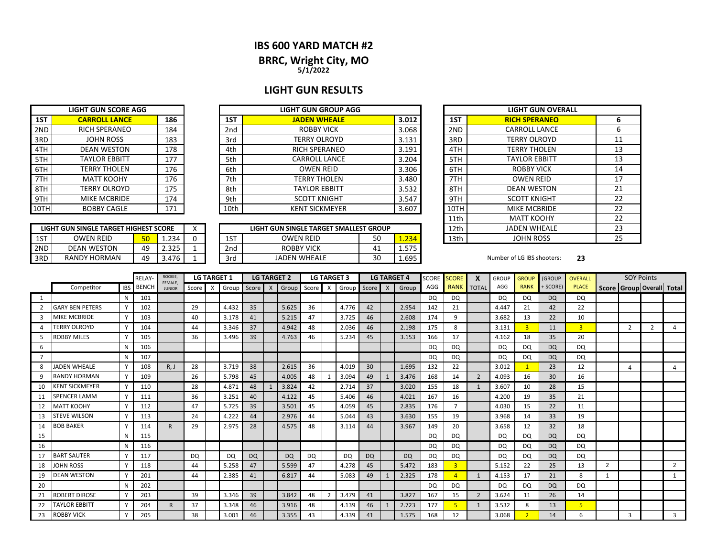### **IBS 600 YARD MATCH #2**

# **BRRC, Wright City, MO**

**5/1/2022**

# **LIGHT GUN RESULTS**

|                 | <b>LIGHT GUN SCORE AGG</b> |     |
|-----------------|----------------------------|-----|
| 1ST             | <b>CARROLL LANCE</b>       | 186 |
| 2 <sub>ND</sub> | <b>RICH SPERANEO</b>       | 184 |
| 3RD             | <b>JOHN ROSS</b>           | 183 |
| 4TH             | <b>DEAN WESTON</b>         | 178 |
| 5TH             | <b>TAYLOR EBBITT</b>       | 177 |
| 6TH             | <b>TERRY THOLEN</b>        | 176 |
| 7TH             | <b>MATT KOOHY</b>          | 176 |
| 8TH             | <b>TERRY OLROYD</b>        | 175 |
| 9TH             | <b>MIKE MCBRIDE</b>        | 174 |
|                 | <b>BOBBY CAGLE</b>         | 171 |

|     | LIGHT GUN SINGLE TARGET HIGHEST SCORE |    |       |  |
|-----|---------------------------------------|----|-------|--|
| 1ST | <b>OWEN REID</b>                      | 50 | 1.234 |  |
| 2ND | <b>DEAN WESTON</b>                    | 49 | 2.325 |  |
| 3RD | RANDY HORMAN                          | 49 | 3.476 |  |

|      | <b>LIGHT GUN SCORE AGG</b> |     | <b>LIGHT GUN GROUP AGG</b> |                 |                       |       |  |      | <b>LIGHT GUN OV</b>  |
|------|----------------------------|-----|----------------------------|-----------------|-----------------------|-------|--|------|----------------------|
| 1ST  | <b>CARROLL LANCE</b>       | 186 |                            | 1ST             | <b>JADEN WHEALE</b>   | 3.012 |  | 1ST  | <b>RICH SPERANED</b> |
| 2ND  | <b>RICH SPERANEO</b>       | 184 |                            | 2 <sub>nd</sub> | <b>ROBBY VICK</b>     | 3.068 |  | 2ND  | <b>CARROLL LANCI</b> |
| 3RD  | <b>JOHN ROSS</b>           | 183 |                            | 3rd             | TERRY OLROYD          | 3.131 |  | 3RD  | <b>TERRY OLROYD</b>  |
| 4TH  | <b>DEAN WESTON</b>         | 178 |                            | 4th             | <b>RICH SPERANEO</b>  | 3.191 |  | 4TH  | <b>TERRY THOLEN</b>  |
| 5TH  | <b>TAYLOR EBBITT</b>       | 177 |                            | 5th             | CARROLL LANCE         | 3.204 |  | 5TH  | <b>TAYLOR EBBITT</b> |
| 6TH  | <b>TERRY THOLEN</b>        | 176 |                            | 6th             | <b>OWEN REID</b>      | 3.306 |  | 6TH  | <b>ROBBY VICK</b>    |
| 7TH  | <b>MATT KOOHY</b>          | 176 |                            | 7th             | TERRY THOLEN          | 3.480 |  | 7TH  | <b>OWEN REID</b>     |
| 8TH  | <b>TERRY OLROYD</b>        | 175 |                            | 8th             | <b>TAYLOR EBBITT</b>  | 3.532 |  | 8TH  | <b>DEAN WESTON</b>   |
| 9TH  | MIKE MCBRIDE               | 174 |                            | 9th             | <b>SCOTT KNIGHT</b>   | 3.547 |  | 9TH  | <b>SCOTT KNIGHT</b>  |
| 10TH | <b>BOBBY CAGLE</b>         | 171 |                            | 10th            | <b>KENT SICKMEYER</b> | 3.607 |  | 10TH | <b>MIKE MCBRIDE</b>  |

|                     |    |       | $\lambda$                             |                                           |                        |                                              |      | 12th | <b>JADEN WHEALE</b>        |    |
|---------------------|----|-------|---------------------------------------|-------------------------------------------|------------------------|----------------------------------------------|------|------|----------------------------|----|
| <b>OWEN REID</b>    | 50 | 1.234 |                                       | OWEN REID                                 | 13th                   | JOHN ROSS                                    |      |      |                            |    |
| <b>DEAN WESTON</b>  | 49 | 2.325 |                                       | <b>ROBBY VICK</b><br>575<br>4⊥<br>ر ر.ر د |                        |                                              |      |      |                            |    |
| <b>RANDY HORMAN</b> | 49 | 3.476 |                                       | 30<br>1.695<br><b>JADEN WHEALE</b><br>3rd |                        |                                              |      |      | Number of LG IBS shooters: | 23 |
|                     |    |       | LIGHT GUN SINGLE TARGET HIGHEST SCORE |                                           | 1ST<br>2 <sub>nd</sub> | LIGHT GUN SINGLE TARGET SMALLEST GROUP<br>50 | .234 |      |                            |    |

|      | <b>LIGHT GUN OVERALL</b> |    |
|------|--------------------------|----|
| 1ST  | <b>RICH SPERANEO</b>     | 6  |
| 2ND  | <b>CARROLL LANCE</b>     | 6  |
| 3RD  | <b>TERRY OLROYD</b>      | 11 |
| 4TH  | <b>TERRY THOLEN</b>      | 13 |
| 5TH  | <b>TAYLOR EBBITT</b>     | 13 |
| 6TH  | ROBBY VICK               | 14 |
| 7TH  | <b>OWEN REID</b>         | 17 |
| 8TH  | <b>DEAN WESTON</b>       | 21 |
| 9TH  | <b>SCOTT KNIGHT</b>      | 22 |
| 10TH | MIKE MCBRIDE             | 22 |
| 11th | <b>MATT KOOHY</b>        | 22 |
| 12th | <b>JADEN WHEALE</b>      | 23 |
| 13th | <b>JOHN ROSS</b>         | 25 |

|    |                        |              | RELAY-       | ROOKIE,<br>FEMALE, |       | <b>LG TARGET 1</b>        |           |           | <b>LG TARGET 2</b> |           |       |                | <b>LG TARGET 3</b> |           |              | <b>LG TARGET 4</b> | <b>SCORE</b> | <b>SCORE</b>   | X                              | <b>GROUP</b> | <b>GROUP</b>   | <b>(GROUP</b> | <b>OVERALL</b> |                | <b>SOY Points</b> |   |                           |
|----|------------------------|--------------|--------------|--------------------|-------|---------------------------|-----------|-----------|--------------------|-----------|-------|----------------|--------------------|-----------|--------------|--------------------|--------------|----------------|--------------------------------|--------------|----------------|---------------|----------------|----------------|-------------------|---|---------------------------|
|    | Competitor             | <b>IBS</b>   | <b>BENCH</b> | <b>JUNIOR</b>      | Score | $\boldsymbol{\mathsf{x}}$ | Group     | Score     | $\mathsf{X}$       | Group     | Score | X              | Group Score        |           | $\mathsf{X}$ | Group              | AGG          | <b>RANK</b>    | $\overline{\phantom{a}}$ TOTAL | AGG          | <b>RANK</b>    | + SCORE)      | <b>PLACE</b>   |                |                   |   | Score Group Overall Total |
| 1  |                        | N            | 101          |                    |       |                           |           |           |                    |           |       |                |                    |           |              |                    | <b>DQ</b>    | DQ             |                                | DQ           | <b>DQ</b>      | <b>DQ</b>     | DQ             |                |                   |   |                           |
| 2  | <b>GARY BEN PETERS</b> | Υ            | 102          |                    | 29    |                           | 4.432     | 35        |                    | 5.625     | 36    |                | 4.776              | 42        |              | 2.954              | 142          | 21             |                                | 4.447        | 21             | 42            | 22             |                |                   |   |                           |
| 3  | <b>MIKE MCBRIDE</b>    | Y            | 103          |                    | 40    |                           | 3.178     | 41        |                    | 5.215     | 47    |                | 3.725              | 46        |              | 2.608              | 174          | 9              |                                | 3.682        | 13             | 22            | 10             |                |                   |   |                           |
|    | <b>TERRY OLROYD</b>    | Y            | 104          |                    | 44    |                           | 3.346     | 37        |                    | 4.942     | 48    |                | 2.036              | 46        |              | 2.198              | 175          | 8              |                                | 3.131        | $\overline{3}$ | 11            | 3 <sup>1</sup> |                | $\overline{2}$    | 2 | 4                         |
| 5. | <b>ROBBY MILES</b>     | Y            | 105          |                    | 36    |                           | 3.496     | 39        |                    | 4.763     | 46    |                | 5.234              | 45        |              | 3.153              | 166          | 17             |                                | 4.162        | 18             | 35            | 20             |                |                   |   |                           |
| 6  |                        | N            | 106          |                    |       |                           |           |           |                    |           |       |                |                    |           |              |                    | <b>DQ</b>    | DQ             |                                | <b>DQ</b>    | <b>DQ</b>      | <b>DQ</b>     | DQ             |                |                   |   |                           |
|    |                        |              | 107          |                    |       |                           |           |           |                    |           |       |                |                    |           |              |                    | <b>DQ</b>    | DQ             |                                | <b>DQ</b>    | DQ             | <b>DQ</b>     | <b>DQ</b>      |                |                   |   |                           |
| 8  | JADEN WHEALE           |              | 108          | R, J               | 28    |                           | 3.719     | 38        |                    | 2.615     | 36    |                | 4.019              | 30        |              | 1.695              | 132          | 22             |                                | 3.012        |                | 23            | 12             |                | 4                 |   | 4                         |
| 9  | <b>RANDY HORMAN</b>    |              | 109          |                    | 26    |                           | 5.798     | 45        |                    | 4.005     | 48    |                | 3.094              | 49        |              | 3.476              | 168          | 14             | 2                              | 4.093        | 16             | 30            | 16             |                |                   |   |                           |
| 10 | <b>KENT SICKMEYER</b>  | Υ            | 110          |                    | 28    |                           | 4.871     | 48        |                    | 3.824     | 42    |                | 2.714              | 37        |              | 3.020              | 155          | 18             |                                | 3.607        | 10             | 28            | 15             |                |                   |   |                           |
| 11 | <b>SPENCER LAMM</b>    |              | 111          |                    | 36    |                           | 3.251     | 40        |                    | 4.122     | 45    |                | 5.406              | 46        |              | 4.021              | 167          | 16             |                                | 4.200        | 19             | 35            | 21             |                |                   |   |                           |
| 12 | <b>MATT KOOHY</b>      |              | 112          |                    | 47    |                           | 5.725     | 39        |                    | 3.501     | 45    |                | 4.059              | 45        |              | 2.835              | 176          |                |                                | 4.030        | 15             | 22            | 11             |                |                   |   |                           |
| 13 | <b>STEVE WILSON</b>    | Y            | 113          |                    | 24    |                           | 4.222     | 44        |                    | 2.976     | 44    |                | 5.044              | 43        |              | 3.630              | 155          | 19             |                                | 3.968        | 14             | 33            | 19             |                |                   |   |                           |
| 14 | <b>BOB BAKER</b>       |              | 114          |                    | 29    |                           | 2.975     | 28        |                    | 4.575     | 48    |                | 3.114              | 44        |              | 3.967              | 149          | 20             |                                | 3.658        | 12             | 32            | 18             |                |                   |   |                           |
| 15 |                        | N            | 115          |                    |       |                           |           |           |                    |           |       |                |                    |           |              |                    | <b>DQ</b>    | <b>DQ</b>      |                                | <b>DQ</b>    | DQ             | <b>DQ</b>     | <b>DQ</b>      |                |                   |   |                           |
| 16 |                        | N            | 116          |                    |       |                           |           |           |                    |           |       |                |                    |           |              |                    | <b>DQ</b>    | DQ             |                                | <b>DQ</b>    | DQ             | <b>DQ</b>     | <b>DQ</b>      |                |                   |   |                           |
| 17 | <b>BART SAUTER</b>     | $\checkmark$ | 117          |                    | DQ    |                           | <b>DQ</b> | <b>DQ</b> |                    | <b>DQ</b> | DQ    |                | <b>DQ</b>          | <b>DQ</b> |              | <b>DQ</b>          | <b>DQ</b>    | <b>DQ</b>      |                                | DQ           | <b>DQ</b>      | <b>DQ</b>     | <b>DQ</b>      |                |                   |   |                           |
| 18 | <b>JOHN ROSS</b>       | $\mathsf{v}$ | 118          |                    | 44    |                           | 5.258     | 47        |                    | 5.599     | 47    |                | 4.278              | 45        |              | 5.472              | 183          | $\overline{3}$ |                                | 5.152        | 22             | 25            | 13             | $\overline{2}$ |                   |   | 2                         |
| 19 | <b>DEAN WESTON</b>     | $\mathsf{v}$ | 201          |                    | 44    |                           | 2.385     | 41        |                    | 6.817     | 44    |                | 5.083              | 49        |              | 2.325              | 178          | $\overline{A}$ | 1                              | 4.153        | 17             | 21            | 8              |                |                   |   |                           |
| 20 |                        | N            | 202          |                    |       |                           |           |           |                    |           |       |                |                    |           |              |                    | <b>DQ</b>    | DQ             |                                | DQ           | <b>DQ</b>      | <b>DQ</b>     | DQ             |                |                   |   |                           |
| 21 | <b>ROBERT DIROSE</b>   | Y            | 203          |                    | 39    |                           | 3.346     | 39        |                    | 3.842     | 48    | $\overline{2}$ | 3.479              | 41        |              | 3.827              | 167          | 15             | $\overline{2}$                 | 3.624        | 11             | 26            | 14             |                |                   |   |                           |
| 22 | <b>TAYLOR EBBITT</b>   |              | 204          |                    | 37    |                           | 3.348     | 46        |                    | 3.916     | 48    |                | 4.139              | 46        | $\mathbf{1}$ | 2.723              | 177          | 5              | -1                             | 3.532        | 8              | 13            | 5              |                |                   |   |                           |
| 23 | <b>ROBBY VICK</b>      |              | 205          |                    | 38    |                           | 3.001     | 46        |                    | 3.355     | 43    |                | 4.339              | 41        |              | 1.575              | 168          | 12             |                                | 3.068        |                | 14            | 6              |                | $\overline{3}$    |   | $\overline{3}$            |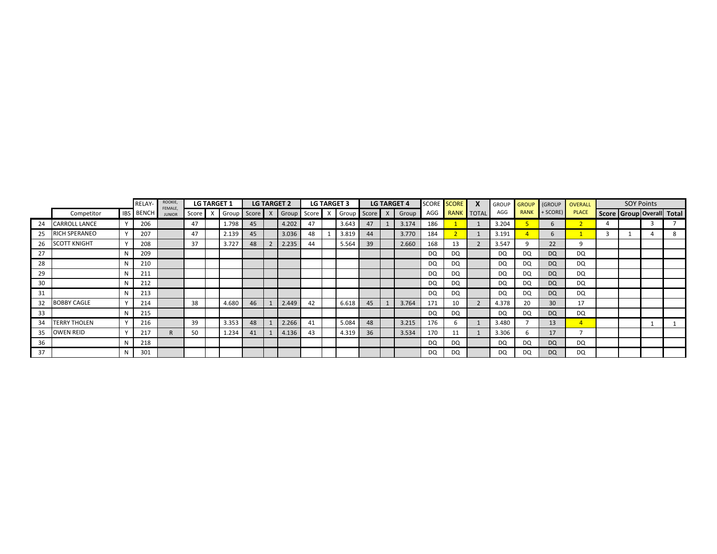|    |                     |              | RELAY-           | ROOKIE,<br>FEMALE, |       | <b>LG TARGET 1</b> |    | <b>LG TARGET 2</b>                        |    | <b>LG TARGET 3</b> |    | <b>LG TARGET 4</b> |     | SCORE SCORE | <b>GROUP</b> | GROUP       | (GROUP          | <b>OVERALL</b> |                           | <b>SOY Points</b> |  |
|----|---------------------|--------------|------------------|--------------------|-------|--------------------|----|-------------------------------------------|----|--------------------|----|--------------------|-----|-------------|--------------|-------------|-----------------|----------------|---------------------------|-------------------|--|
|    | Competitor          |              | <b>IBS BENCH</b> | <b>JUNIOR</b>      | Score |                    |    | Group Score X Group Score X Group Score X |    |                    |    | Group              | AGG | RANK TOTAL  | AGG          | <b>RANK</b> | $+$ SCORE)      | <b>PLACE</b>   | Score Group Overall Total |                   |  |
| 24 | CARROLL LANCE       | $\mathsf{v}$ | 206              |                    | 47    | 1.798              | 45 | 4.202                                     | 47 | 3.643              | 47 | 3.174              | 186 |             | 3.204        |             | 6               |                |                           |                   |  |
| 25 | RICH SPERANEO       | v            | 207              |                    | 47    | 2.139              | 45 | 3.036                                     | 48 | 3.819              | 44 | 3.770              | 184 |             | 3.191        |             | 6               |                |                           |                   |  |
| 26 | <b>SCOTT KNIGHT</b> | $\mathsf{v}$ | 208              |                    | 37    | 3.727              | 48 | 2.235                                     | 44 | 5.564              | 39 | 2.660              | 168 | 13          | 3.547        |             | 22              | Q              |                           |                   |  |
| 27 |                     | N            | 209              |                    |       |                    |    |                                           |    |                    |    |                    | DQ  | DQ          | DQ           | DQ          | DQ              | DQ             |                           |                   |  |
| 28 |                     | N            | 210              |                    |       |                    |    |                                           |    |                    |    |                    | DQ. | DQ          | DQ           | DQ.         | DQ              | DQ             |                           |                   |  |
| 29 |                     | N            | 211              |                    |       |                    |    |                                           |    |                    |    |                    | DQ  | DQ          | DQ           | DQ.         | DQ              | DQ             |                           |                   |  |
| 30 |                     | N            | 212              |                    |       |                    |    |                                           |    |                    |    |                    | DQ  | DQ          | DQ           | DQ          | DQ              | DQ             |                           |                   |  |
| 31 |                     | N            | 213              |                    |       |                    |    |                                           |    |                    |    |                    | DQ  | DQ          | DQ           | DQ          | DQ              | DQ             |                           |                   |  |
| 32 | <b>BOBBY CAGLE</b>  | $\mathbf{v}$ | 214              |                    | 38    | 4.680              | 46 | 2.449                                     | 42 | 6.618              | 45 | 3.764              | 171 | 10          | 4.378        | 20          | 30 <sup>°</sup> | 17             |                           |                   |  |
| 33 |                     | N            | 215              |                    |       |                    |    |                                           |    |                    |    |                    | DQ  | DQ          | DQ           | DQ.         | DQ              | DQ             |                           |                   |  |
| 34 | <b>TERRY THOLEN</b> | v            | 216              |                    | 39    | 3.353              | 48 | 2.266                                     | 41 | 5.084              | 48 | 3.215              | 176 | 6           | 3.480        |             | 13              | $\overline{4}$ |                           |                   |  |
| 35 | OWEN REID           | $\mathbf v$  | 217              |                    | 50    | 1.234              | 41 | 4.136                                     | 43 | 4.319              | 36 | 3.534              | 170 | 11          | 3.306        |             | 17              |                |                           |                   |  |
| 36 |                     | N            | 218              |                    |       |                    |    |                                           |    |                    |    |                    | DQ  | DQ          | DQ           | DQ          | DQ              | DQ             |                           |                   |  |
| 37 |                     | N            | 301              |                    |       |                    |    |                                           |    |                    |    |                    | DQ  | DQ          | DQ           | DQ          | <b>DQ</b>       | DQ.            |                           |                   |  |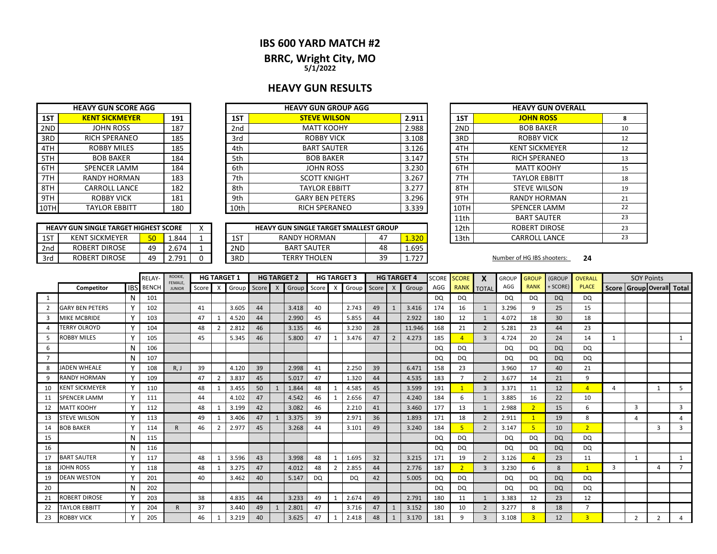### **IBS 600 YARD MATCH #2**

**BRRC, Wright City, MO 5/1/2022**

### **HEAVY GUN RESULTS**

|       | <b>HEAVY GUN GROUP AGG</b> |                 |     | <b>HEAVY GUN SCORE AGG</b> |      |
|-------|----------------------------|-----------------|-----|----------------------------|------|
| 2.911 | <b>STEVE WILSON</b>        | 1ST             | 191 | <b>KENT SICKMEYER</b>      | 1ST  |
| 2.988 | <b>MATT KOOHY</b>          | 2 <sub>nd</sub> | 187 | JOHN ROSS                  | 2ND  |
| 3.108 | <b>ROBBY VICK</b>          | 3rd             | 185 | <b>RICH SPERANEO</b>       | 3RD  |
| 3.126 | <b>BART SAUTER</b>         | 4th             | 185 | <b>ROBBY MILES</b>         | 4TH  |
| 3.147 | <b>BOB BAKER</b>           | 5th             | 184 | <b>BOB BAKER</b>           | 5TH  |
| 3.230 | <b>JOHN ROSS</b>           | 6th             | 184 | <b>SPENCER LAMM</b>        | 6TH  |
| 3.267 | <b>SCOTT KNIGHT</b>        | 7th             | 183 | <b>RANDY HORMAN</b>        | 7TH  |
| 3.277 | <b>TAYLOR EBBITT</b>       | 8th             | 182 | <b>CARROLL LANCE</b>       | 8TH  |
| 3.296 | <b>GARY BEN PETERS</b>     | 9th             | 181 | <b>ROBBY VICK</b>          | 9TH  |
| 3.339 | <b>RICH SPERANEO</b>       | 10th            | 180 | <b>TAYLOR EBBITT</b>       | 10TH |
|       |                            |                 |     |                            |      |

**HEAVY GUN SINGLE TARGET HIGHEST SCORE**

|     | <b>HEAVY GUN SINGLE TARGET HIGHEST SCORE</b> |           |       |     | <b>HEAVY GUN SINGLE TARGET SMALLEST GROUP</b> |                |                                     | ROBERT DIROSE<br>12th |                            |    |  |
|-----|----------------------------------------------|-----------|-------|-----|-----------------------------------------------|----------------|-------------------------------------|-----------------------|----------------------------|----|--|
| 1ST | <b>KENT SICKMEYER</b>                        | 50        | 844.ء | 1ST | <b>RANDY HORMAN</b>                           | $\overline{ }$ | 1.320                               | 13th                  | <b>CARROLL LANCE</b>       |    |  |
| 2nd | ROBERT DIROSE                                | 49        | 2.674 | 2ND | <b>BART SAUTER</b>                            | 48             | 1.695                               |                       |                            |    |  |
| 3rd | ROBERT DIROSE                                | 49<br>т., | 701   | 3RD | <b>TERRY THOLEN</b>                           | ٩q<br>ت ب      | $\overline{\phantom{a}}$<br>1. / 2. |                       | Number of HG IBS shooters: | 24 |  |

| <b>HEAVY GUN GROUP AGG</b>       |       |       |                      | <b>HEAVY GUN OVERALL</b> |    |
|----------------------------------|-------|-------|----------------------|--------------------------|----|
| <b>STEVE WILSON</b>              |       | 2.911 | 1ST                  | <b>JOHN ROSS</b>         | 8  |
| <b>MATT KOOHY</b>                |       | 2.988 | 2ND                  | <b>BOB BAKER</b>         | 10 |
| <b>ROBBY VICK</b>                | 3.108 | 3RD   | <b>ROBBY VICK</b>    | 12                       |    |
| <b>BART SAUTER</b>               |       | 3.126 | 4TH                  | <b>KENT SICKMEYER</b>    | 12 |
| <b>BOB BAKER</b>                 | 3.147 | 5TH   | <b>RICH SPERANEO</b> | 13                       |    |
| <b>JOHN ROSS</b>                 | 3.230 | 6TH   | <b>MATT KOOHY</b>    | 15                       |    |
| <b>SCOTT KNIGHT</b>              |       | 3.267 | 7TH                  | <b>TAYLOR EBBITT</b>     | 18 |
| <b>TAYLOR EBBITT</b>             |       | 3.277 | 8TH                  | <b>STEVE WILSON</b>      | 19 |
| <b>GARY BEN PETERS</b>           |       | 3.296 | 9TH                  | <b>RANDY HORMAN</b>      | 21 |
| <b>RICH SPERANEO</b>             |       | 3.339 | 10TH                 | <b>SPENCER LAMM</b>      | 22 |
|                                  |       |       | 11th                 | <b>BART SAUTER</b>       | 23 |
| GUN SINGLE TARGET SMALLEST GROUP |       |       | 12th                 | <b>ROBERT DIROSE</b>     | 23 |
| RANDY HORMAN                     | 1.320 | 13th  | CARROLL LANCE        | 23                       |    |

|                |                        |   | <b>RELAY</b>     | ROOKIE,<br>FEMALE. |       |                           | <b>HG TARGET 1</b> |       |              | <b>HG TARGET 2</b> |           | <b>HG TARGET 3</b> |       |       |                           | <b>HG TARGET 4</b> | <b>SCORE</b> | <b>SCORE</b>   |                | <b>GROUP</b> | <b>GROUP</b>   | (GROUP    | <b>OVERALL</b> |   | <b>SOY Points</b> |                |                           |
|----------------|------------------------|---|------------------|--------------------|-------|---------------------------|--------------------|-------|--------------|--------------------|-----------|--------------------|-------|-------|---------------------------|--------------------|--------------|----------------|----------------|--------------|----------------|-----------|----------------|---|-------------------|----------------|---------------------------|
|                | Competitor             |   | <b>IBS</b> BENCH | <b>JUNIOR</b>      | Score | $\boldsymbol{\mathsf{X}}$ | Group              | Score | $\mathsf{X}$ | Group              | Score     | X                  | Group | Score | $\boldsymbol{\mathsf{X}}$ | Group              | AGG          | <b>RANK</b>    | <b>TOTAL</b>   | AGG          | <b>RANK</b>    | + SCORE)  | <b>PLACE</b>   |   |                   |                | Score Group Overall Total |
| 1              |                        | N | 101              |                    |       |                           |                    |       |              |                    |           |                    |       |       |                           |                    | <b>DQ</b>    | DQ             |                | <b>DQ</b>    | DQ             | <b>DQ</b> | DQ.            |   |                   |                |                           |
| $\overline{2}$ | <b>GARY BEN PETERS</b> |   | 102              |                    | 41    |                           | 3.605              | 44    |              | 3.418              | 40        |                    | 2.743 | 49    |                           | 3.416              | 174          | 16             | $\mathbf{1}$   | 3.296        | q              | 25        | 15             |   |                   |                |                           |
| 3              | <b>MIKE MCBRIDE</b>    | Υ | 103              |                    | 47    |                           | 4.520              | 44    |              | 2.990              | 45        |                    | 5.855 | 44    |                           | 2.922              | 180          | 12             |                | 4.072        | 18             | 30        | 18             |   |                   |                |                           |
|                | <b>TERRY OLROYD</b>    | Υ | 104              |                    | 48    | $\overline{2}$            | 2.812              | 46    |              | 3.135              | 46        |                    | 3.230 | 28    |                           | 11.946             | 168          | 21             | $\overline{2}$ | 5.281        | 23             | 44        | 23             |   |                   |                |                           |
| 5              | ROBBY MILES            |   | 105              |                    | 45    |                           | 5.345              | 46    |              | 5.800              | 47        |                    | 3.476 | 47    |                           | 4.273              | 185          | $\overline{4}$ | $\overline{3}$ | 4.724        | 20             | 24        | 14             |   |                   |                |                           |
| 6              |                        | N | 106              |                    |       |                           |                    |       |              |                    |           |                    |       |       |                           |                    | DQ           | DQ             |                | DQ           | DQ             | <b>DQ</b> | DQ             |   |                   |                |                           |
|                |                        |   | 107              |                    |       |                           |                    |       |              |                    |           |                    |       |       |                           |                    | DQ           | DQ             |                | <b>DQ</b>    | DQ             | <b>DQ</b> | DQ             |   |                   |                |                           |
| 8              | JADEN WHEALE           |   | 108              | R, J               | 39    |                           | 4.120              | 39    |              | 2.998              | 41        |                    | 2.250 | 39    |                           | 6.471              | 158          | 23             |                | 3.960        | 17             | 40        | 21             |   |                   |                |                           |
|                | RANDY HORMAN           |   | 109              |                    | 47    |                           | 3.837              | 45    |              | 5.017              | 47        |                    | 1.320 | 44    |                           | 4.535              | 183          |                | $\overline{2}$ | 3.677        | 14             | 21        | 9              |   |                   |                |                           |
| 10             | <b>KENT SICKMEYER</b>  | γ | 110              |                    | 48    |                           | 3.455              | 50    | 1            | 1.844              | 48        |                    | 4.585 | 45    |                           | 3.599              | 191          |                | 3              | 3.371        | 11             | 12        | $\overline{4}$ | Δ |                   | $\mathbf{1}$   | 5                         |
| 11             | SPENCER LAMM           | ۷ | 111              |                    | 44    |                           | 4.102              | 47    |              | 4.542              | 46        |                    | 2.656 | 47    |                           | 4.240              | 184          | 6              |                | 3.885        | 16             | 22        | 10             |   |                   |                |                           |
| 12             | <b>MATT KOOHY</b>      | γ | 112              |                    | 48    |                           | 3.199              | 42    |              | 3.082              | 46        |                    | 2.210 | 41    |                           | 3.460              | 177          | 13             |                | 2.988        | $\overline{2}$ | 15        | 6              |   | 3                 |                | 3                         |
| 13             | <b>STEVE WILSON</b>    |   | 113              |                    | 49    |                           | 3.406              | 47    |              | 3.375              | 39        |                    | 2.971 | 36    |                           | 1.893              | 171          | 18             | 2              | 2.911        |                | 19        | 8              |   | 4                 |                |                           |
| 14             | <b>BOB BAKER</b>       | ٧ | 114              | R                  | 46    | -2                        | 2.977              | 45    |              | 3.268              | 44        |                    | 3.101 | 49    |                           | 3.240              | 184          | 5              | $\overline{2}$ | 3.147        | $\overline{5}$ | 10        | $\overline{2}$ |   |                   | $\overline{3}$ | $\overline{3}$            |
| 15             |                        | N | 115              |                    |       |                           |                    |       |              |                    |           |                    |       |       |                           |                    | <b>DQ</b>    | DQ             |                | <b>DQ</b>    | DQ             | <b>DQ</b> | DQ.            |   |                   |                |                           |
| 16             |                        | N | 116              |                    |       |                           |                    |       |              |                    |           |                    |       |       |                           |                    | DQ           | DQ             |                | <b>DQ</b>    | DQ             | <b>DQ</b> | DQ             |   |                   |                |                           |
| 17             | <b>BART SAUTER</b>     |   | 117              |                    | 48    |                           | 3.596              | 43    |              | 3.998              | 48        |                    | 1.695 | 32    |                           | 3.215              | 171          | 19             | $\overline{2}$ | 3.126        |                | 23        | 11             |   | 1                 |                |                           |
| 18             | JOHN ROSS              |   | 118              |                    | 48    |                           | 3.275              | 47    |              | 4.012              | 48        |                    | 2.855 | 44    |                           | 2.776              | 187          | $\overline{2}$ | $\overline{3}$ | 3.230        | 6              | 8         | $\mathbf{1}$   | 3 |                   | 4              |                           |
| 19             | <b>DEAN WESTON</b>     |   | 201              |                    | 40    |                           | 3.462              | 40    |              | 5.147              | <b>DQ</b> |                    | DQ    | 42    |                           | 5.005              | DQ           | DQ             |                | DQ           | DQ             | DQ        | DQ.            |   |                   |                |                           |
| 20             |                        | N | 202              |                    |       |                           |                    |       |              |                    |           |                    |       |       |                           |                    | DQ           | DQ             |                | <b>DQ</b>    | DQ             | <b>DQ</b> | <b>DQ</b>      |   |                   |                |                           |
| 21             | ROBERT DIROSE          |   | 203              |                    | 38    |                           | 4.835              | 44    |              | 3.233              | 49        |                    | 2.674 | 49    |                           | 2.791              | 180          | 11             |                | 3.383        | 12             | 23        | 12             |   |                   |                |                           |
| 22             | <b>TAYLOR EBBITT</b>   |   | 204              |                    | 37    |                           | 3.440              | 49    |              | 2.801              | 47        |                    | 3.716 | 47    |                           | 3.152              | 180          | 10             | $\overline{2}$ | 3.277        | 8              | 18        | $\overline{7}$ |   |                   |                |                           |
| 23             | <b>ROBBY VICK</b>      |   | 205              |                    | 46    |                           | 3.219              | 40    |              | 3.625              | 47        |                    | 2.418 | 48    |                           | 3.170              | 181          | 9              | $\mathbf{R}$   | 3.108        |                | 12        | $\overline{3}$ |   | $\overline{2}$    | $\overline{2}$ |                           |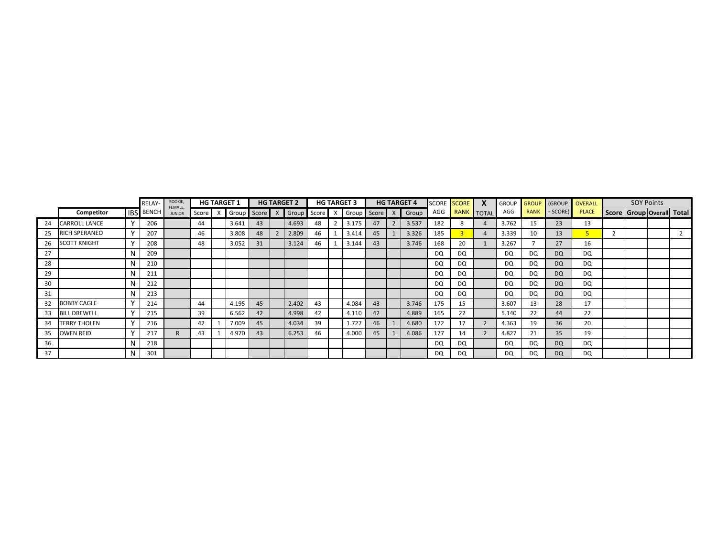|    |                     |              | RELAY-           | ROOKIE,<br>FEMALE, |    | <b>HG TARGET 1</b> |    | <b>HG TARGET 2</b>          |    | <b>HG TARGET 3</b> |    | <b>HG TARGET 4</b>          |     | <b>SCORE SCORE</b> | <b>GROUP</b> |             | <b>GROUP GROUP OVERALL</b> |              |                           | <b>SOY Points</b> |  |
|----|---------------------|--------------|------------------|--------------------|----|--------------------|----|-----------------------------|----|--------------------|----|-----------------------------|-----|--------------------|--------------|-------------|----------------------------|--------------|---------------------------|-------------------|--|
|    | Competitor          |              | <b>IBS BENCH</b> | <b>JUNIOR</b>      |    |                    |    | Score X Group Score X Group |    |                    |    | Score X Group Score X Group | AGG | RANK TOTAL         | AGG          | <b>RANK</b> | $+$ SCORE)                 | <b>PLACE</b> | Score Group Overall Total |                   |  |
| 24 | CARROLL LANCE       | v            | 206              |                    | 44 | 3.641              | 43 | 4.693                       | 48 | 3.175              | 47 | 3.537                       | 182 |                    | 3.762        | 15          | 23                         | 13           |                           |                   |  |
| 25 | RICH SPERANEO       | v            | 207              |                    | 46 | 3.808              | 48 | 2.809                       | 46 | 3.414              | 45 | 3.326                       | 185 |                    | 3.339        | 10          | 13                         | $5 -$        |                           |                   |  |
| 26 | <b>SCOTT KNIGHT</b> | $\mathbf v$  | 208              |                    | 48 | 3.052              | 31 | 3.124                       | 46 | 3.144              | 43 | 3.746                       | 168 | 20                 | 3.267        |             | 27                         | 16           |                           |                   |  |
| 27 |                     | N            | 209              |                    |    |                    |    |                             |    |                    |    |                             | DQ  | DQ                 | DQ           | DQ          | DQ                         | DQ           |                           |                   |  |
| 28 |                     |              | 210              |                    |    |                    |    |                             |    |                    |    |                             | DQ  | DQ                 | DQ           | DQ.         | <b>DQ</b>                  | DQ           |                           |                   |  |
| 29 |                     |              | 211              |                    |    |                    |    |                             |    |                    |    |                             | DQ  | DQ                 | <b>DQ</b>    | DQ          | <b>DQ</b>                  | DQ           |                           |                   |  |
| 30 |                     | N            | 212              |                    |    |                    |    |                             |    |                    |    |                             | DQ  | DQ                 | DQ           | DQ          | DQ                         | DQ           |                           |                   |  |
| 31 |                     | N            | 213              |                    |    |                    |    |                             |    |                    |    |                             | DQ  | DQ                 | DQ           | <b>DQ</b>   | DQ                         | DQ           |                           |                   |  |
| 32 | <b>BOBBY CAGLE</b>  | $\mathbf{v}$ | 214              |                    | 44 | 4.195              | 45 | 2.402                       | 43 | 4.084              | 43 | 3.746                       | 175 | -15                | 3.607        | 13          | 28                         | 17           |                           |                   |  |
| 33 | <b>BILL DREWELL</b> | $\mathbf v$  | 215              |                    | 39 | 6.562              | 42 | 4.998                       | 42 | 4.110              | 42 | 4.889                       | 165 | 22                 | 5.140        | 22          | 44                         | 22           |                           |                   |  |
| 34 | <b>TERRY THOLEN</b> | $\mathbf v$  | 216              |                    | 42 | 7.009              | 45 | 4.034                       | 39 | 1.727              | 46 | 4.680                       | 172 | 17                 | 4.363        | 19          | 36                         | 20           |                           |                   |  |
| 35 | <b>OWEN REID</b>    |              | 217              |                    | 43 | 4.970              | 43 | 6.253                       | 46 | 4.000              | 45 | 4.086                       | 177 | 14                 | 4.827        | 21          | 35                         | 19           |                           |                   |  |
| 36 |                     |              | 218              |                    |    |                    |    |                             |    |                    |    |                             | DQ  | DQ                 | DQ           | DQ          | DQ                         | DQ           |                           |                   |  |
| 37 |                     |              | 301              |                    |    |                    |    |                             |    |                    |    |                             | DQ  | DO.                | DQ           | DQ          | DQ                         | <b>DQ</b>    |                           |                   |  |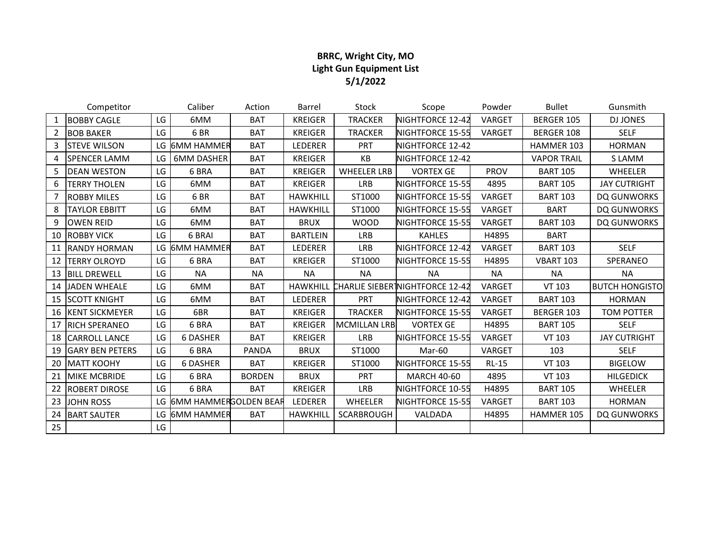# **BRRC, Wright City, MO Light Gun Equipment List 5/1/2022**

|                | Competitor             |     | Caliber                  | Action        | Barrel          | Stock               | Scope                                  | Powder       | <b>Bullet</b>      | Gunsmith              |
|----------------|------------------------|-----|--------------------------|---------------|-----------------|---------------------|----------------------------------------|--------------|--------------------|-----------------------|
| 1              | <b>BOBBY CAGLE</b>     | LG  | 6MM                      | <b>BAT</b>    | <b>KREIGER</b>  | <b>TRACKER</b>      | NIGHTFORCE 12-42                       | VARGET       | BERGER 105         | <b>DJ JONES</b>       |
| $\overline{2}$ | <b>BOB BAKER</b>       | LG  | 6BR                      | <b>BAT</b>    | <b>KREIGER</b>  | <b>TRACKER</b>      | NIGHTFORCE 15-55                       | VARGET       | BERGER 108         | <b>SELF</b>           |
| 3              | <b>STEVE WILSON</b>    |     | LG 6MM HAMMER            | <b>BAT</b>    | LEDERER         | <b>PRT</b>          | NIGHTFORCE 12-42                       |              | HAMMER 103         | <b>HORMAN</b>         |
| 4              | <b>SPENCER LAMM</b>    | LG  | <b>6MM DASHER</b>        | <b>BAT</b>    | <b>KREIGER</b>  | KB                  | NIGHTFORCE 12-42                       |              | <b>VAPOR TRAIL</b> | S LAMM                |
| 5              | <b>DEAN WESTON</b>     | LG. | 6 BRA                    | <b>BAT</b>    | <b>KREIGER</b>  | <b>WHEELER LRB</b>  | <b>VORTEX GE</b>                       | <b>PROV</b>  | <b>BART 105</b>    | <b>WHEELER</b>        |
| 6              | <b>TERRY THOLEN</b>    | LG  | 6MM                      | <b>BAT</b>    | <b>KREIGER</b>  | <b>LRB</b>          | NIGHTFORCE 15-55                       | 4895         | <b>BART 105</b>    | <b>JAY CUTRIGHT</b>   |
|                | <b>ROBBY MILES</b>     | LG  | 6BR                      | <b>BAT</b>    | <b>HAWKHILL</b> | ST1000              | NIGHTFORCE 15-55                       | VARGET       | <b>BART 103</b>    | DQ GUNWORKS           |
| 8              | <b>TAYLOR EBBITT</b>   | LG  | 6MM                      | <b>BAT</b>    | <b>HAWKHILL</b> | ST1000              | NIGHTFORCE 15-55                       | VARGET       | <b>BART</b>        | DQ GUNWORKS           |
| 9              | <b>OWEN REID</b>       | LG  | 6MM                      | <b>BAT</b>    | <b>BRUX</b>     | <b>WOOD</b>         | NIGHTFORCE 15-55                       | VARGET       | <b>BART 103</b>    | DQ GUNWORKS           |
| 10             | <b>ROBBY VICK</b>      | LG. | 6 BRAI                   | <b>BAT</b>    | <b>BARTLEIN</b> | <b>LRB</b>          | <b>KAHLES</b>                          | H4895        | <b>BART</b>        |                       |
| 11             | <b>RANDY HORMAN</b>    | LG  | <b>6MM HAMMER</b>        | <b>BAT</b>    | LEDERER         | <b>LRB</b>          | NIGHTFORCE 12-42                       | VARGET       | <b>BART 103</b>    | <b>SELF</b>           |
| 12             | <b>TERRY OLROYD</b>    | LG  | 6 BRA                    | <b>BAT</b>    | <b>KREIGER</b>  | ST1000              | NIGHTFORCE 15-55                       | H4895        | <b>VBART 103</b>   | SPERANEO              |
| 13             | <b>BILL DREWELL</b>    | LG  | <b>NA</b>                | <b>NA</b>     | <b>NA</b>       | <b>NA</b>           | <b>NA</b>                              | <b>NA</b>    | <b>NA</b>          | <b>NA</b>             |
| 14             | <b>JADEN WHEALE</b>    | LG  | 6MM                      | <b>BAT</b>    | <b>HAWKHILL</b> |                     | <b>CHARLIE SIEBERTNIGHTFORCE 12-42</b> | VARGET       | VT 103             | <b>BUTCH HONGISTO</b> |
| 15             | <b>SCOTT KNIGHT</b>    | LG  | 6MM                      | <b>BAT</b>    | LEDERER         | PRT                 | NIGHTFORCE 12-42                       | VARGET       | <b>BART 103</b>    | <b>HORMAN</b>         |
| 16             | <b>KENT SICKMEYER</b>  | LG  | 6BR                      | <b>BAT</b>    | <b>KREIGER</b>  | <b>TRACKER</b>      | NIGHTFORCE 15-55                       | VARGET       | BERGER 103         | <b>TOM POTTER</b>     |
| 17             | <b>RICH SPERANEO</b>   | LG  | 6 BRA                    | <b>BAT</b>    | <b>KREIGER</b>  | <b>MCMILLAN LRB</b> | <b>VORTEX GE</b>                       | H4895        | <b>BART 105</b>    | <b>SELF</b>           |
| 18             | <b>CARROLL LANCE</b>   | LG  | <b>6 DASHER</b>          | <b>BAT</b>    | <b>KREIGER</b>  | <b>LRB</b>          | NIGHTFORCE 15-55                       | VARGET       | <b>VT 103</b>      | <b>JAY CUTRIGHT</b>   |
| 19             | <b>GARY BEN PETERS</b> | LG. | 6 BRA                    | <b>PANDA</b>  | <b>BRUX</b>     | ST1000              | Mar-60                                 | VARGET       | 103                | <b>SELF</b>           |
| 20             | <b>MATT KOOHY</b>      | LG  | <b>6 DASHER</b>          | <b>BAT</b>    | <b>KREIGER</b>  | ST1000              | NIGHTFORCE 15-55                       | <b>RL-15</b> | VT 103             | <b>BIGELOW</b>        |
| 21             | <b>MIKE MCBRIDE</b>    | LG  | 6 BRA                    | <b>BORDEN</b> | <b>BRUX</b>     | <b>PRT</b>          | <b>MARCH 40-60</b>                     | 4895         | VT 103             | <b>HILGEDICK</b>      |
| 22             | <b>ROBERT DIROSE</b>   | LG. | 6 BRA                    | <b>BAT</b>    | <b>KREIGER</b>  | <b>LRB</b>          | NIGHTFORCE 10-55                       | H4895        | <b>BART 105</b>    | <b>WHEELER</b>        |
| 23             | <b>JOHN ROSS</b>       |     | LG 6MM HAMMERGOLDEN BEAR |               | LEDERER         | WHEELER             | NIGHTFORCE 15-55                       | VARGET       | <b>BART 103</b>    | <b>HORMAN</b>         |
| 24             | <b>BART SAUTER</b>     | LG  | <b>6MM HAMMER</b>        | <b>BAT</b>    | <b>HAWKHILL</b> | <b>SCARBROUGH</b>   | VALDADA                                | H4895        | HAMMER 105         | <b>DO GUNWORKS</b>    |
| 25             |                        | LG  |                          |               |                 |                     |                                        |              |                    |                       |